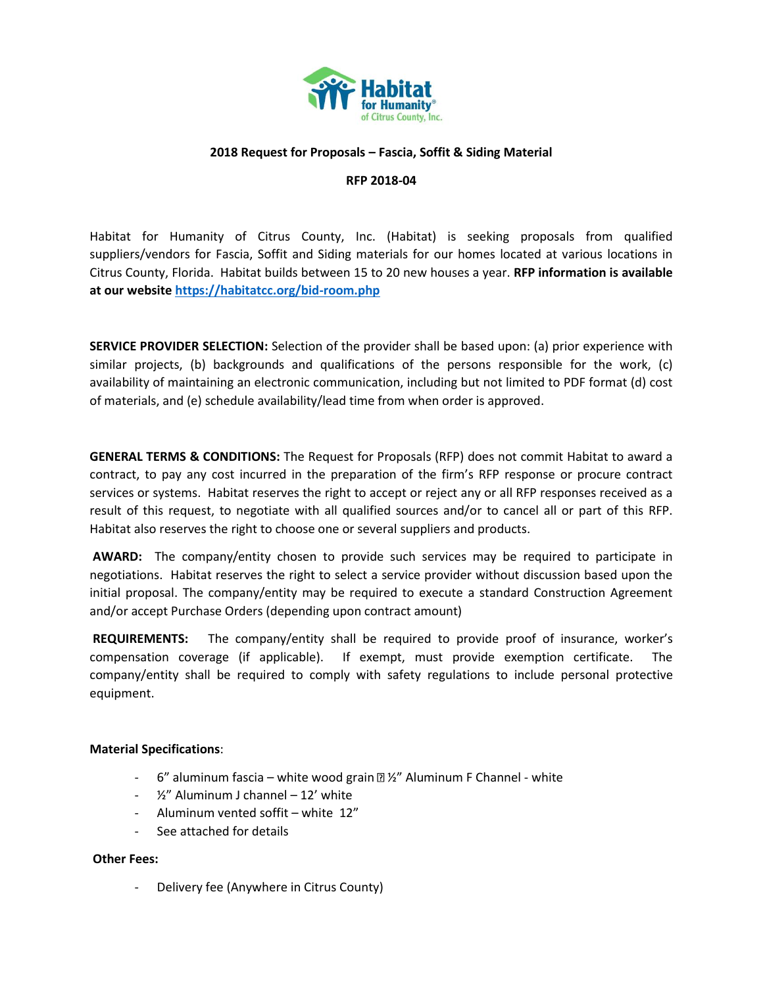

### **2018 Request for Proposals – Fascia, Soffit & Siding Material**

#### **RFP 2018-04**

Habitat for Humanity of Citrus County, Inc. (Habitat) is seeking proposals from qualified suppliers/vendors for Fascia, Soffit and Siding materials for our homes located at various locations in Citrus County, Florida. Habitat builds between 15 to 20 new houses a year. **RFP information is available at our websit[e https://habitatcc.org/bid-room.php](https://habitatcc.org/bid-room.php)** 

**SERVICE PROVIDER SELECTION:** Selection of the provider shall be based upon: (a) prior experience with similar projects, (b) backgrounds and qualifications of the persons responsible for the work, (c) availability of maintaining an electronic communication, including but not limited to PDF format (d) cost of materials, and (e) schedule availability/lead time from when order is approved.

**GENERAL TERMS & CONDITIONS:** The Request for Proposals (RFP) does not commit Habitat to award a contract, to pay any cost incurred in the preparation of the firm's RFP response or procure contract services or systems. Habitat reserves the right to accept or reject any or all RFP responses received as a result of this request, to negotiate with all qualified sources and/or to cancel all or part of this RFP. Habitat also reserves the right to choose one or several suppliers and products.

**AWARD:** The company/entity chosen to provide such services may be required to participate in negotiations. Habitat reserves the right to select a service provider without discussion based upon the initial proposal. The company/entity may be required to execute a standard Construction Agreement and/or accept Purchase Orders (depending upon contract amount)

**REQUIREMENTS:** The company/entity shall be required to provide proof of insurance, worker's compensation coverage (if applicable). If exempt, must provide exemption certificate. The company/entity shall be required to comply with safety regulations to include personal protective equipment.

#### **Material Specifications**:

- $-$  6" aluminum fascia white wood grain  $\mathbb{Z}/2$ " Aluminum F Channel white
- $\frac{1}{2}$ " Aluminum J channel  $-$  12' white
- Aluminum vented soffit white 12"
- See attached for details

#### **Other Fees:**

- Delivery fee (Anywhere in Citrus County)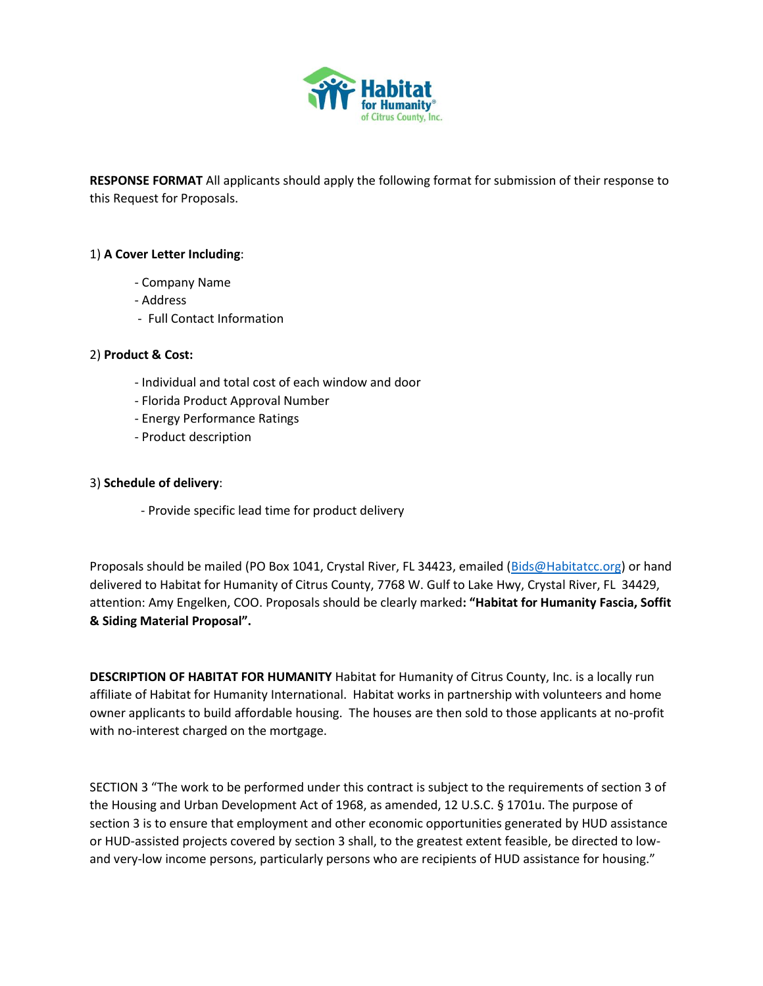

**RESPONSE FORMAT** All applicants should apply the following format for submission of their response to this Request for Proposals.

## 1) **A Cover Letter Including**:

- Company Name
- Address
- Full Contact Information

### 2) **Product & Cost:**

- Individual and total cost of each window and door
- Florida Product Approval Number
- Energy Performance Ratings
- Product description

### 3) **Schedule of delivery**:

- Provide specific lead time for product delivery

Proposals should be mailed (PO Box 1041, Crystal River, FL 34423, emailed [\(Bids@Habitatcc.org\)](mailto:Bids@Habitatcc.org) or hand delivered to Habitat for Humanity of Citrus County, 7768 W. Gulf to Lake Hwy, Crystal River, FL 34429, attention: Amy Engelken, COO. Proposals should be clearly marked**: "Habitat for Humanity Fascia, Soffit & Siding Material Proposal".** 

**DESCRIPTION OF HABITAT FOR HUMANITY** Habitat for Humanity of Citrus County, Inc. is a locally run affiliate of Habitat for Humanity International. Habitat works in partnership with volunteers and home owner applicants to build affordable housing. The houses are then sold to those applicants at no-profit with no-interest charged on the mortgage.

SECTION 3 "The work to be performed under this contract is subject to the requirements of section 3 of the Housing and Urban Development Act of 1968, as amended, 12 U.S.C. § 1701u. The purpose of section 3 is to ensure that employment and other economic opportunities generated by HUD assistance or HUD-assisted projects covered by section 3 shall, to the greatest extent feasible, be directed to lowand very-low income persons, particularly persons who are recipients of HUD assistance for housing."